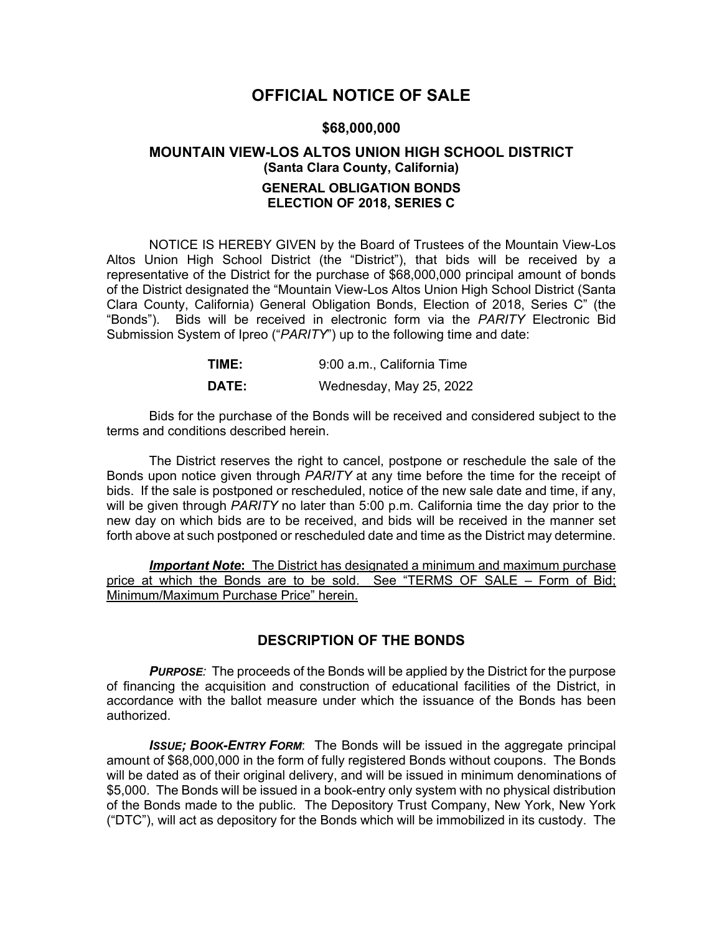# **OFFICIAL NOTICE OF SALE**

#### **\$68,000,000**

# **MOUNTAIN VIEW-LOS ALTOS UNION HIGH SCHOOL DISTRICT (Santa Clara County, California) GENERAL OBLIGATION BONDS ELECTION OF 2018, SERIES C**

NOTICE IS HEREBY GIVEN by the Board of Trustees of the Mountain View-Los Altos Union High School District (the "District"), that bids will be received by a representative of the District for the purchase of \$68,000,000 principal amount of bonds of the District designated the "Mountain View-Los Altos Union High School District (Santa Clara County, California) General Obligation Bonds, Election of 2018, Series C" (the "Bonds"). Bids will be received in electronic form via the *PARITY* Electronic Bid Submission System of Ipreo ("*PARITY*") up to the following time and date:

| TIME: | 9:00 a.m., California Time |  |  |
|-------|----------------------------|--|--|
| DATE: | Wednesday, May 25, 2022    |  |  |

Bids for the purchase of the Bonds will be received and considered subject to the terms and conditions described herein.

The District reserves the right to cancel, postpone or reschedule the sale of the Bonds upon notice given through *PARITY* at any time before the time for the receipt of bids. If the sale is postponed or rescheduled, notice of the new sale date and time, if any, will be given through *PARITY* no later than 5:00 p.m. California time the day prior to the new day on which bids are to be received, and bids will be received in the manner set forth above at such postponed or rescheduled date and time as the District may determine.

*Important Note***:** The District has designated a minimum and maximum purchase price at which the Bonds are to be sold. See "TERMS OF SALE – Form of Bid; Minimum/Maximum Purchase Price" herein.

## **DESCRIPTION OF THE BONDS**

*PURPOSE:* The proceeds of the Bonds will be applied by the District for the purpose of financing the acquisition and construction of educational facilities of the District, in accordance with the ballot measure under which the issuance of the Bonds has been authorized.

**ISSUE; BOOK-ENTRY FORM:** The Bonds will be issued in the aggregate principal amount of \$68,000,000 in the form of fully registered Bonds without coupons. The Bonds will be dated as of their original delivery, and will be issued in minimum denominations of \$5,000. The Bonds will be issued in a book-entry only system with no physical distribution of the Bonds made to the public. The Depository Trust Company, New York, New York ("DTC"), will act as depository for the Bonds which will be immobilized in its custody. The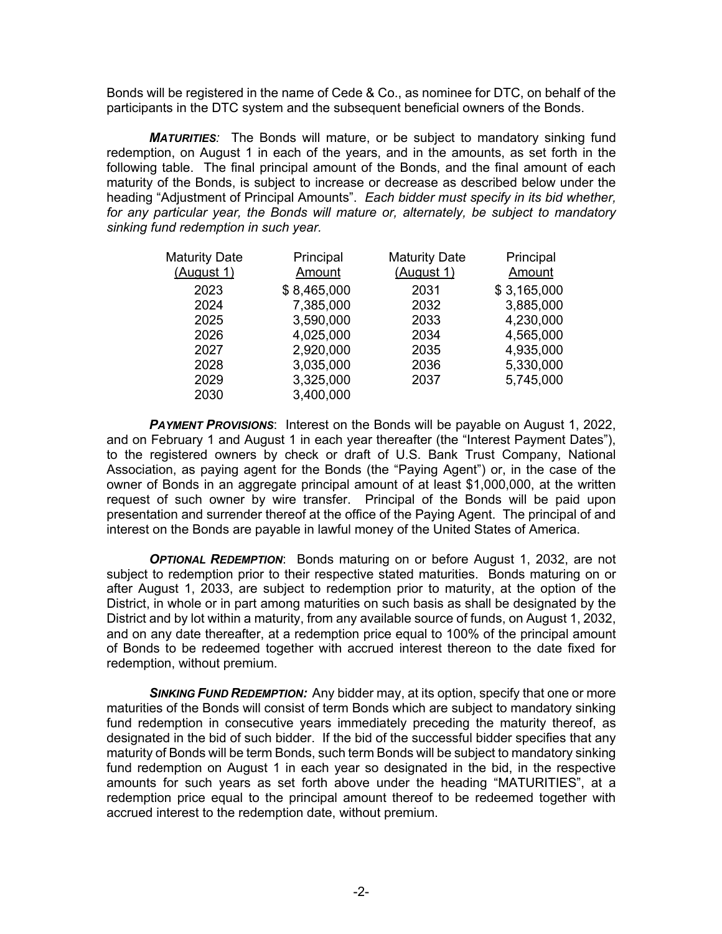Bonds will be registered in the name of Cede & Co., as nominee for DTC, on behalf of the participants in the DTC system and the subsequent beneficial owners of the Bonds.

*MATURITIES:* The Bonds will mature, or be subject to mandatory sinking fund redemption, on August 1 in each of the years, and in the amounts, as set forth in the following table. The final principal amount of the Bonds, and the final amount of each maturity of the Bonds, is subject to increase or decrease as described below under the heading "Adjustment of Principal Amounts". *Each bidder must specify in its bid whether, for any particular year, the Bonds will mature or, alternately, be subject to mandatory sinking fund redemption in such year.*

| <b>Maturity Date</b> | Principal   | <b>Maturity Date</b> | Principal   |
|----------------------|-------------|----------------------|-------------|
| (August 1)           | Amount      | (August 1)           | Amount      |
| 2023                 | \$8,465,000 | 2031                 | \$3,165,000 |
| 2024                 | 7,385,000   | 2032                 | 3,885,000   |
| 2025                 | 3,590,000   | 2033                 | 4,230,000   |
| 2026                 | 4,025,000   | 2034                 | 4,565,000   |
| 2027                 | 2,920,000   | 2035                 | 4,935,000   |
| 2028                 | 3,035,000   | 2036                 | 5,330,000   |
| 2029                 | 3,325,000   | 2037                 | 5,745,000   |
| 2030                 | 3,400,000   |                      |             |

*PAYMENT PROVISIONS*: Interest on the Bonds will be payable on August 1, 2022, and on February 1 and August 1 in each year thereafter (the "Interest Payment Dates"), to the registered owners by check or draft of U.S. Bank Trust Company, National Association, as paying agent for the Bonds (the "Paying Agent") or, in the case of the owner of Bonds in an aggregate principal amount of at least \$1,000,000, at the written request of such owner by wire transfer. Principal of the Bonds will be paid upon presentation and surrender thereof at the office of the Paying Agent. The principal of and interest on the Bonds are payable in lawful money of the United States of America.

*OPTIONAL REDEMPTION*: Bonds maturing on or before August 1, 2032, are not subject to redemption prior to their respective stated maturities. Bonds maturing on or after August 1, 2033, are subject to redemption prior to maturity, at the option of the District, in whole or in part among maturities on such basis as shall be designated by the District and by lot within a maturity, from any available source of funds, on August 1, 2032, and on any date thereafter, at a redemption price equal to 100% of the principal amount of Bonds to be redeemed together with accrued interest thereon to the date fixed for redemption, without premium.

*SINKING FUND REDEMPTION:* Any bidder may, at its option, specify that one or more maturities of the Bonds will consist of term Bonds which are subject to mandatory sinking fund redemption in consecutive years immediately preceding the maturity thereof, as designated in the bid of such bidder.If the bid of the successful bidder specifies that any maturity of Bonds will be term Bonds, such term Bonds will be subject to mandatory sinking fund redemption on August 1 in each year so designated in the bid, in the respective amounts for such years as set forth above under the heading "MATURITIES", at a redemption price equal to the principal amount thereof to be redeemed together with accrued interest to the redemption date, without premium.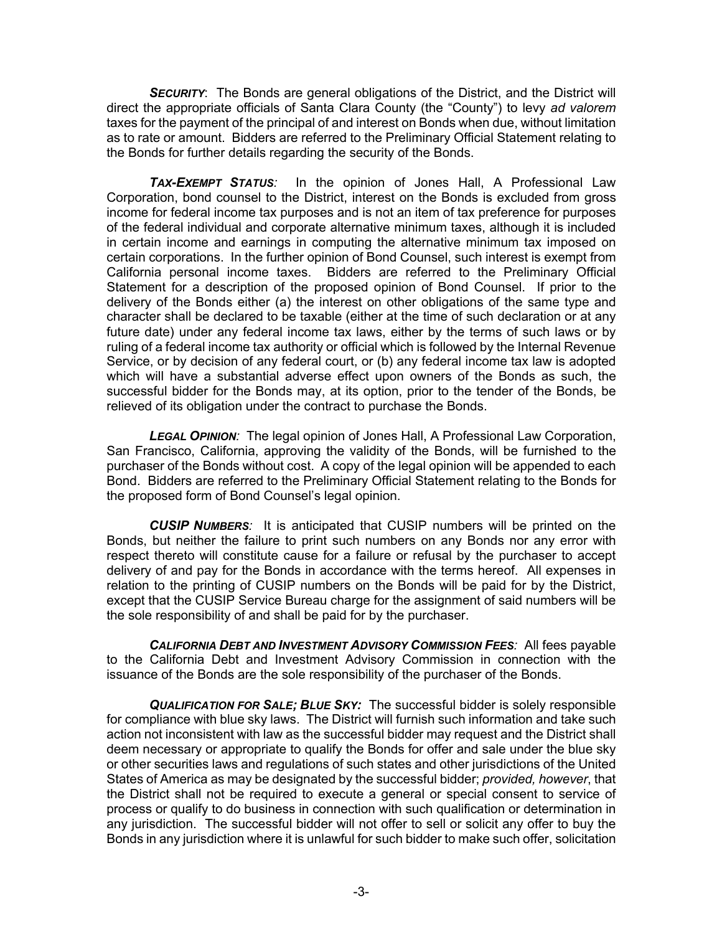**SECURITY:** The Bonds are general obligations of the District, and the District will direct the appropriate officials of Santa Clara County (the "County") to levy *ad valorem* taxes for the payment of the principal of and interest on Bonds when due, without limitation as to rate or amount. Bidders are referred to the Preliminary Official Statement relating to the Bonds for further details regarding the security of the Bonds.

*TAX-EXEMPT STATUS:* In the opinion of Jones Hall, A Professional Law Corporation, bond counsel to the District, interest on the Bonds is excluded from gross income for federal income tax purposes and is not an item of tax preference for purposes of the federal individual and corporate alternative minimum taxes, although it is included in certain income and earnings in computing the alternative minimum tax imposed on certain corporations. In the further opinion of Bond Counsel, such interest is exempt from California personal income taxes. Bidders are referred to the Preliminary Official Statement for a description of the proposed opinion of Bond Counsel. If prior to the delivery of the Bonds either (a) the interest on other obligations of the same type and character shall be declared to be taxable (either at the time of such declaration or at any future date) under any federal income tax laws, either by the terms of such laws or by ruling of a federal income tax authority or official which is followed by the Internal Revenue Service, or by decision of any federal court, or (b) any federal income tax law is adopted which will have a substantial adverse effect upon owners of the Bonds as such, the successful bidder for the Bonds may, at its option, prior to the tender of the Bonds, be relieved of its obligation under the contract to purchase the Bonds.

*LEGAL OPINION:* The legal opinion of Jones Hall, A Professional Law Corporation, San Francisco, California, approving the validity of the Bonds, will be furnished to the purchaser of the Bonds without cost. A copy of the legal opinion will be appended to each Bond. Bidders are referred to the Preliminary Official Statement relating to the Bonds for the proposed form of Bond Counsel's legal opinion.

*CUSIP NUMBERS:* It is anticipated that CUSIP numbers will be printed on the Bonds, but neither the failure to print such numbers on any Bonds nor any error with respect thereto will constitute cause for a failure or refusal by the purchaser to accept delivery of and pay for the Bonds in accordance with the terms hereof. All expenses in relation to the printing of CUSIP numbers on the Bonds will be paid for by the District, except that the CUSIP Service Bureau charge for the assignment of said numbers will be the sole responsibility of and shall be paid for by the purchaser.

*CALIFORNIA DEBT AND INVESTMENT ADVISORY COMMISSION FEES:* All fees payable to the California Debt and Investment Advisory Commission in connection with the issuance of the Bonds are the sole responsibility of the purchaser of the Bonds.

*QUALIFICATION FOR SALE; BLUE SKY:* The successful bidder is solely responsible for compliance with blue sky laws. The District will furnish such information and take such action not inconsistent with law as the successful bidder may request and the District shall deem necessary or appropriate to qualify the Bonds for offer and sale under the blue sky or other securities laws and regulations of such states and other jurisdictions of the United States of America as may be designated by the successful bidder; *provided, however*, that the District shall not be required to execute a general or special consent to service of process or qualify to do business in connection with such qualification or determination in any jurisdiction. The successful bidder will not offer to sell or solicit any offer to buy the Bonds in any jurisdiction where it is unlawful for such bidder to make such offer, solicitation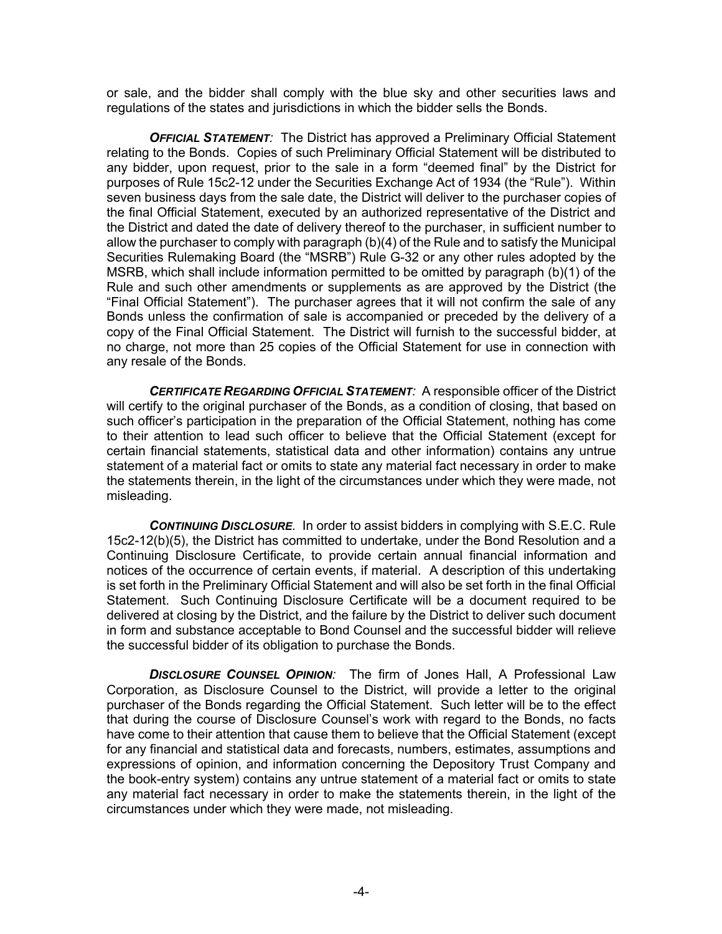or sale, and the bidder shall comply with the blue sky and other securities laws and regulations of the states and jurisdictions in which the bidder sells the Bonds.

*OFFICIAL STATEMENT:* The District has approved a Preliminary Official Statement relating to the Bonds. Copies of such Preliminary Official Statement will be distributed to any bidder, upon request, prior to the sale in a form "deemed final" by the District for purposes of Rule 15c2-12 under the Securities Exchange Act of 1934 (the "Rule"). Within seven business days from the sale date, the District will deliver to the purchaser copies of the final Official Statement, executed by an authorized representative of the District and the District and dated the date of delivery thereof to the purchaser, in sufficient number to allow the purchaser to comply with paragraph (b)(4) of the Rule and to satisfy the Municipal Securities Rulemaking Board (the "MSRB") Rule G-32 or any other rules adopted by the MSRB, which shall include information permitted to be omitted by paragraph (b)(1) of the Rule and such other amendments or supplements as are approved by the District (the "Final Official Statement"). The purchaser agrees that it will not confirm the sale of any Bonds unless the confirmation of sale is accompanied or preceded by the delivery of a copy of the Final Official Statement. The District will furnish to the successful bidder, at no charge, not more than 25 copies of the Official Statement for use in connection with any resale of the Bonds.

*CERTIFICATE REGARDING OFFICIAL STATEMENT:* A responsible officer of the District will certify to the original purchaser of the Bonds, as a condition of closing, that based on such officer's participation in the preparation of the Official Statement, nothing has come to their attention to lead such officer to believe that the Official Statement (except for certain financial statements, statistical data and other information) contains any untrue statement of a material fact or omits to state any material fact necessary in order to make the statements therein, in the light of the circumstances under which they were made, not misleading.

*CONTINUING DISCLOSURE*. In order to assist bidders in complying with S.E.C. Rule 15c2-12(b)(5), the District has committed to undertake, under the Bond Resolution and a Continuing Disclosure Certificate, to provide certain annual financial information and notices of the occurrence of certain events, if material. A description of this undertaking is set forth in the Preliminary Official Statement and will also be set forth in the final Official Statement. Such Continuing Disclosure Certificate will be a document required to be delivered at closing by the District, and the failure by the District to deliver such document in form and substance acceptable to Bond Counsel and the successful bidder will relieve the successful bidder of its obligation to purchase the Bonds.

*DISCLOSURE COUNSEL OPINION:* The firm of Jones Hall, A Professional Law Corporation, as Disclosure Counsel to the District, will provide a letter to the original purchaser of the Bonds regarding the Official Statement. Such letter will be to the effect that during the course of Disclosure Counsel's work with regard to the Bonds, no facts have come to their attention that cause them to believe that the Official Statement (except for any financial and statistical data and forecasts, numbers, estimates, assumptions and expressions of opinion, and information concerning the Depository Trust Company and the book-entry system) contains any untrue statement of a material fact or omits to state any material fact necessary in order to make the statements therein, in the light of the circumstances under which they were made, not misleading.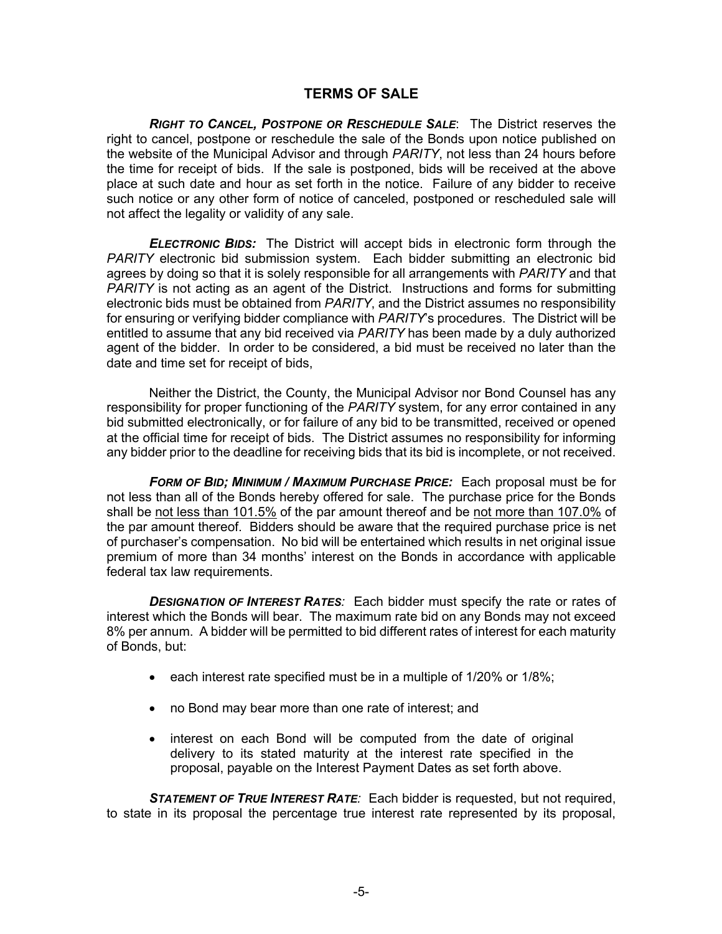## **TERMS OF SALE**

*RIGHT TO CANCEL, POSTPONE OR RESCHEDULE SALE*:The District reserves the right to cancel, postpone or reschedule the sale of the Bonds upon notice published on the website of the Municipal Advisor and through *PARITY*, not less than 24 hours before the time for receipt of bids. If the sale is postponed, bids will be received at the above place at such date and hour as set forth in the notice. Failure of any bidder to receive such notice or any other form of notice of canceled, postponed or rescheduled sale will not affect the legality or validity of any sale.

*ELECTRONIC BIDS:* The District will accept bids in electronic form through the *PARITY* electronic bid submission system. Each bidder submitting an electronic bid agrees by doing so that it is solely responsible for all arrangements with *PARITY* and that *PARITY* is not acting as an agent of the District. Instructions and forms for submitting electronic bids must be obtained from *PARITY*, and the District assumes no responsibility for ensuring or verifying bidder compliance with *PARITY*'s procedures. The District will be entitled to assume that any bid received via *PARITY* has been made by a duly authorized agent of the bidder. In order to be considered, a bid must be received no later than the date and time set for receipt of bids,

Neither the District, the County, the Municipal Advisor nor Bond Counsel has any responsibility for proper functioning of the *PARITY* system, for any error contained in any bid submitted electronically, or for failure of any bid to be transmitted, received or opened at the official time for receipt of bids. The District assumes no responsibility for informing any bidder prior to the deadline for receiving bids that its bid is incomplete, or not received.

*FORM OF BID; MINIMUM / MAXIMUM PURCHASE PRICE:* Each proposal must be for not less than all of the Bonds hereby offered for sale. The purchase price for the Bonds shall be not less than 101.5% of the par amount thereof and be not more than 107.0% of the par amount thereof. Bidders should be aware that the required purchase price is net of purchaser's compensation. No bid will be entertained which results in net original issue premium of more than 34 months' interest on the Bonds in accordance with applicable federal tax law requirements.

*DESIGNATION OF INTEREST RATES:* Each bidder must specify the rate or rates of interest which the Bonds will bear. The maximum rate bid on any Bonds may not exceed 8% per annum. A bidder will be permitted to bid different rates of interest for each maturity of Bonds, but:

- each interest rate specified must be in a multiple of 1/20% or 1/8%;
- no Bond may bear more than one rate of interest; and
- interest on each Bond will be computed from the date of original delivery to its stated maturity at the interest rate specified in the proposal, payable on the Interest Payment Dates as set forth above.

*STATEMENT OF TRUE INTEREST RATE:* Each bidder is requested, but not required, to state in its proposal the percentage true interest rate represented by its proposal,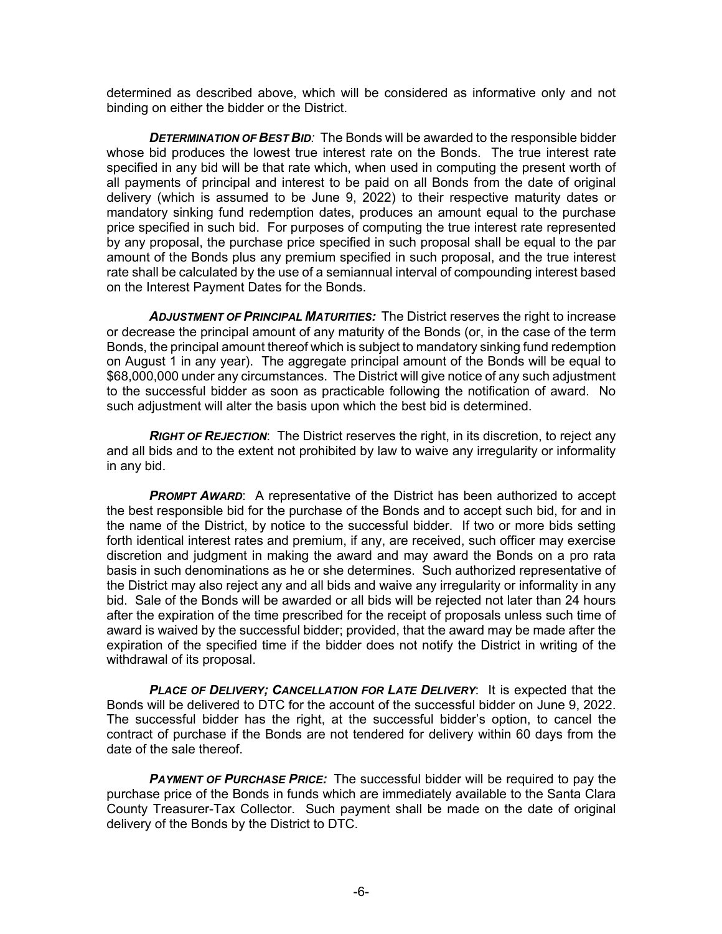determined as described above, which will be considered as informative only and not binding on either the bidder or the District.

*DETERMINATION OF BEST BID:* The Bonds will be awarded to the responsible bidder whose bid produces the lowest true interest rate on the Bonds. The true interest rate specified in any bid will be that rate which, when used in computing the present worth of all payments of principal and interest to be paid on all Bonds from the date of original delivery (which is assumed to be June 9, 2022) to their respective maturity dates or mandatory sinking fund redemption dates, produces an amount equal to the purchase price specified in such bid. For purposes of computing the true interest rate represented by any proposal, the purchase price specified in such proposal shall be equal to the par amount of the Bonds plus any premium specified in such proposal, and the true interest rate shall be calculated by the use of a semiannual interval of compounding interest based on the Interest Payment Dates for the Bonds.

*ADJUSTMENT OF PRINCIPAL MATURITIES:*The District reserves the right to increase or decrease the principal amount of any maturity of the Bonds (or, in the case of the term Bonds, the principal amount thereof which is subject to mandatory sinking fund redemption on August 1 in any year). The aggregate principal amount of the Bonds will be equal to \$68,000,000 under any circumstances. The District will give notice of any such adjustment to the successful bidder as soon as practicable following the notification of award. No such adjustment will alter the basis upon which the best bid is determined.

*RIGHT OF REJECTION*: The District reserves the right, in its discretion, to reject any and all bids and to the extent not prohibited by law to waive any irregularity or informality in any bid.

**PROMPT AWARD:** A representative of the District has been authorized to accept the best responsible bid for the purchase of the Bonds and to accept such bid, for and in the name of the District, by notice to the successful bidder. If two or more bids setting forth identical interest rates and premium, if any, are received, such officer may exercise discretion and judgment in making the award and may award the Bonds on a pro rata basis in such denominations as he or she determines. Such authorized representative of the District may also reject any and all bids and waive any irregularity or informality in any bid. Sale of the Bonds will be awarded or all bids will be rejected not later than 24 hours after the expiration of the time prescribed for the receipt of proposals unless such time of award is waived by the successful bidder; provided, that the award may be made after the expiration of the specified time if the bidder does not notify the District in writing of the withdrawal of its proposal.

*PLACE OF DELIVERY; CANCELLATION FOR LATE DELIVERY*: It is expected that the Bonds will be delivered to DTC for the account of the successful bidder on June 9, 2022. The successful bidder has the right, at the successful bidder's option, to cancel the contract of purchase if the Bonds are not tendered for delivery within 60 days from the date of the sale thereof.

*PAYMENT OF PURCHASE PRICE:* The successful bidder will be required to pay the purchase price of the Bonds in funds which are immediately available to the Santa Clara County Treasurer-Tax Collector. Such payment shall be made on the date of original delivery of the Bonds by the District to DTC.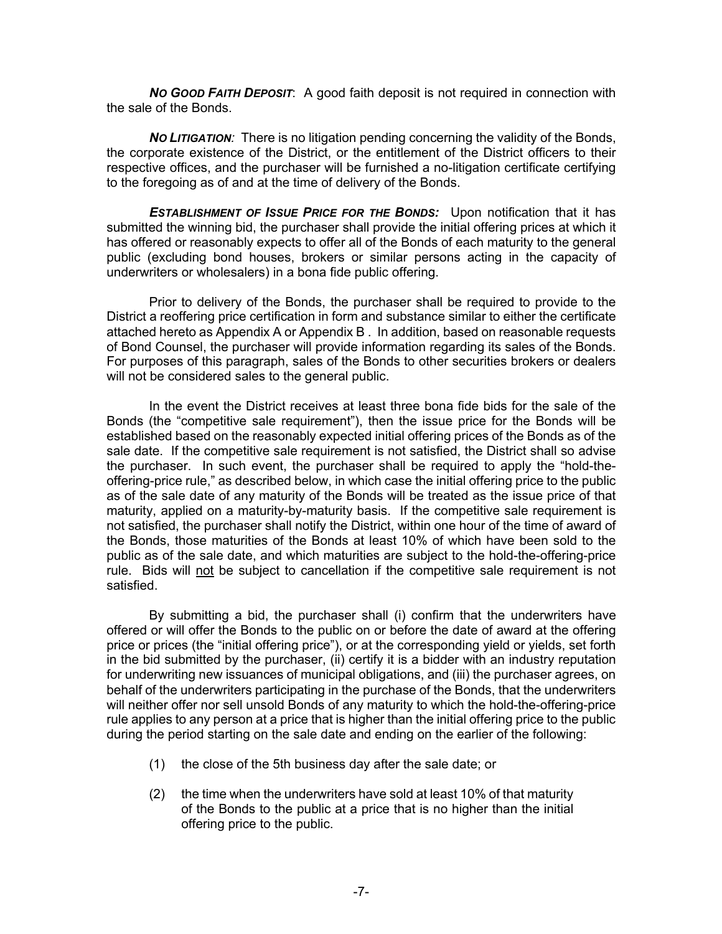*NO GOOD FAITH DEPOSIT*: A good faith deposit is not required in connection with the sale of the Bonds.

*NO LITIGATION:* There is no litigation pending concerning the validity of the Bonds, the corporate existence of the District, or the entitlement of the District officers to their respective offices, and the purchaser will be furnished a no-litigation certificate certifying to the foregoing as of and at the time of delivery of the Bonds.

*ESTABLISHMENT OF ISSUE PRICE FOR THE BONDS:* Upon notification that it has submitted the winning bid, the purchaser shall provide the initial offering prices at which it has offered or reasonably expects to offer all of the Bonds of each maturity to the general public (excluding bond houses, brokers or similar persons acting in the capacity of underwriters or wholesalers) in a bona fide public offering.

Prior to delivery of the Bonds, the purchaser shall be required to provide to the District a reoffering price certification in form and substance similar to either the certificate attached hereto as Appendix A or Appendix B . In addition, based on reasonable requests of Bond Counsel, the purchaser will provide information regarding its sales of the Bonds. For purposes of this paragraph, sales of the Bonds to other securities brokers or dealers will not be considered sales to the general public.

In the event the District receives at least three bona fide bids for the sale of the Bonds (the "competitive sale requirement"), then the issue price for the Bonds will be established based on the reasonably expected initial offering prices of the Bonds as of the sale date. If the competitive sale requirement is not satisfied, the District shall so advise the purchaser. In such event, the purchaser shall be required to apply the "hold-theoffering-price rule," as described below, in which case the initial offering price to the public as of the sale date of any maturity of the Bonds will be treated as the issue price of that maturity, applied on a maturity-by-maturity basis. If the competitive sale requirement is not satisfied, the purchaser shall notify the District, within one hour of the time of award of the Bonds, those maturities of the Bonds at least 10% of which have been sold to the public as of the sale date, and which maturities are subject to the hold-the-offering-price rule. Bids will not be subject to cancellation if the competitive sale requirement is not satisfied.

By submitting a bid, the purchaser shall (i) confirm that the underwriters have offered or will offer the Bonds to the public on or before the date of award at the offering price or prices (the "initial offering price"), or at the corresponding yield or yields, set forth in the bid submitted by the purchaser, (ii) certify it is a bidder with an industry reputation for underwriting new issuances of municipal obligations, and (iii) the purchaser agrees, on behalf of the underwriters participating in the purchase of the Bonds, that the underwriters will neither offer nor sell unsold Bonds of any maturity to which the hold-the-offering-price rule applies to any person at a price that is higher than the initial offering price to the public during the period starting on the sale date and ending on the earlier of the following:

- (1) the close of the 5th business day after the sale date; or
- (2) the time when the underwriters have sold at least 10% of that maturity of the Bonds to the public at a price that is no higher than the initial offering price to the public.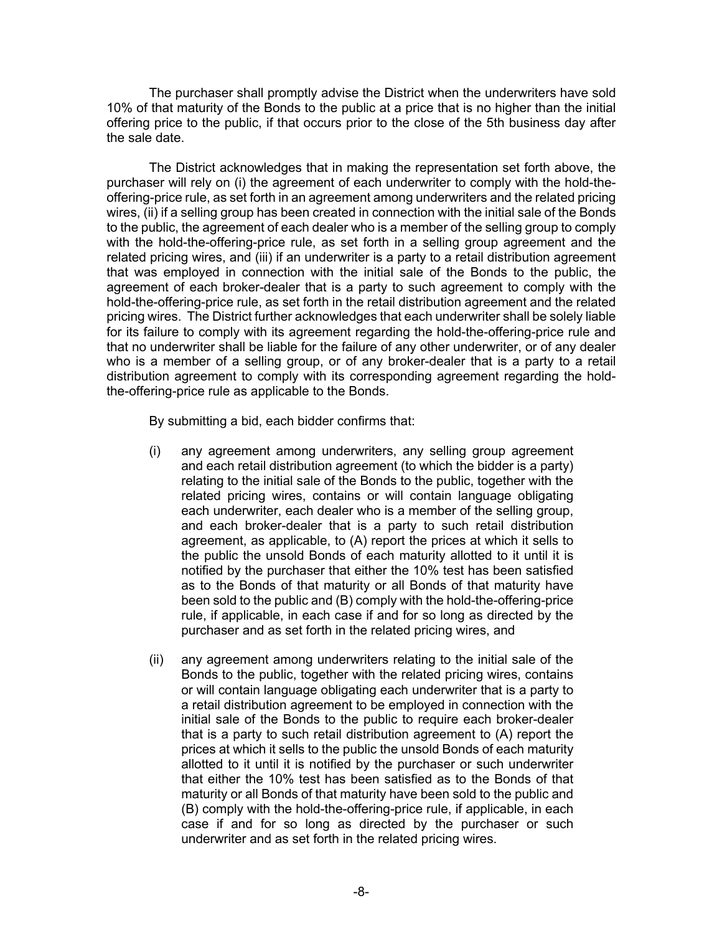The purchaser shall promptly advise the District when the underwriters have sold 10% of that maturity of the Bonds to the public at a price that is no higher than the initial offering price to the public, if that occurs prior to the close of the 5th business day after the sale date.

The District acknowledges that in making the representation set forth above, the purchaser will rely on (i) the agreement of each underwriter to comply with the hold-theoffering-price rule, as set forth in an agreement among underwriters and the related pricing wires, (ii) if a selling group has been created in connection with the initial sale of the Bonds to the public, the agreement of each dealer who is a member of the selling group to comply with the hold-the-offering-price rule, as set forth in a selling group agreement and the related pricing wires, and (iii) if an underwriter is a party to a retail distribution agreement that was employed in connection with the initial sale of the Bonds to the public, the agreement of each broker-dealer that is a party to such agreement to comply with the hold-the-offering-price rule, as set forth in the retail distribution agreement and the related pricing wires. The District further acknowledges that each underwriter shall be solely liable for its failure to comply with its agreement regarding the hold-the-offering-price rule and that no underwriter shall be liable for the failure of any other underwriter, or of any dealer who is a member of a selling group, or of any broker-dealer that is a party to a retail distribution agreement to comply with its corresponding agreement regarding the holdthe-offering-price rule as applicable to the Bonds.

By submitting a bid, each bidder confirms that:

- (i) any agreement among underwriters, any selling group agreement and each retail distribution agreement (to which the bidder is a party) relating to the initial sale of the Bonds to the public, together with the related pricing wires, contains or will contain language obligating each underwriter, each dealer who is a member of the selling group, and each broker-dealer that is a party to such retail distribution agreement, as applicable, to (A) report the prices at which it sells to the public the unsold Bonds of each maturity allotted to it until it is notified by the purchaser that either the 10% test has been satisfied as to the Bonds of that maturity or all Bonds of that maturity have been sold to the public and (B) comply with the hold-the-offering-price rule, if applicable, in each case if and for so long as directed by the purchaser and as set forth in the related pricing wires, and
- (ii) any agreement among underwriters relating to the initial sale of the Bonds to the public, together with the related pricing wires, contains or will contain language obligating each underwriter that is a party to a retail distribution agreement to be employed in connection with the initial sale of the Bonds to the public to require each broker-dealer that is a party to such retail distribution agreement to (A) report the prices at which it sells to the public the unsold Bonds of each maturity allotted to it until it is notified by the purchaser or such underwriter that either the 10% test has been satisfied as to the Bonds of that maturity or all Bonds of that maturity have been sold to the public and (B) comply with the hold-the-offering-price rule, if applicable, in each case if and for so long as directed by the purchaser or such underwriter and as set forth in the related pricing wires.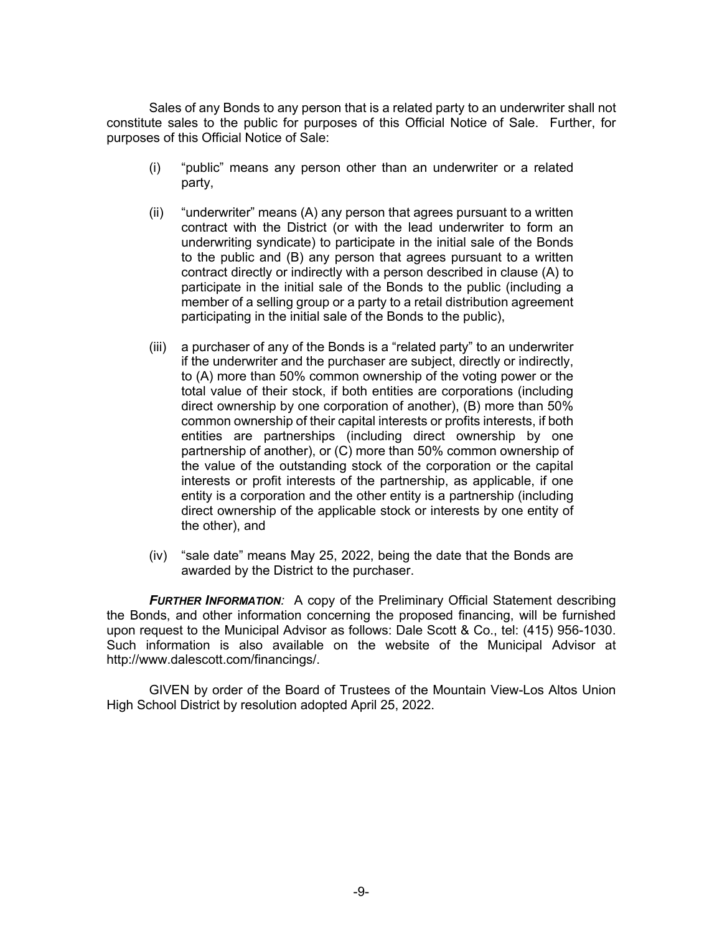Sales of any Bonds to any person that is a related party to an underwriter shall not constitute sales to the public for purposes of this Official Notice of Sale. Further, for purposes of this Official Notice of Sale:

- (i) "public" means any person other than an underwriter or a related party,
- (ii) "underwriter" means (A) any person that agrees pursuant to a written contract with the District (or with the lead underwriter to form an underwriting syndicate) to participate in the initial sale of the Bonds to the public and (B) any person that agrees pursuant to a written contract directly or indirectly with a person described in clause (A) to participate in the initial sale of the Bonds to the public (including a member of a selling group or a party to a retail distribution agreement participating in the initial sale of the Bonds to the public),
- (iii) a purchaser of any of the Bonds is a "related party" to an underwriter if the underwriter and the purchaser are subject, directly or indirectly, to (A) more than 50% common ownership of the voting power or the total value of their stock, if both entities are corporations (including direct ownership by one corporation of another), (B) more than 50% common ownership of their capital interests or profits interests, if both entities are partnerships (including direct ownership by one partnership of another), or (C) more than 50% common ownership of the value of the outstanding stock of the corporation or the capital interests or profit interests of the partnership, as applicable, if one entity is a corporation and the other entity is a partnership (including direct ownership of the applicable stock or interests by one entity of the other), and
- (iv) "sale date" means May 25, 2022, being the date that the Bonds are awarded by the District to the purchaser.

*FURTHER INFORMATION:* A copy of the Preliminary Official Statement describing the Bonds, and other information concerning the proposed financing, will be furnished upon request to the Municipal Advisor as follows: Dale Scott & Co., tel: (415) 956-1030. Such information is also available on the website of the Municipal Advisor at http://www.dalescott.com/financings/.

GIVEN by order of the Board of Trustees of the Mountain View-Los Altos Union High School District by resolution adopted April 25, 2022.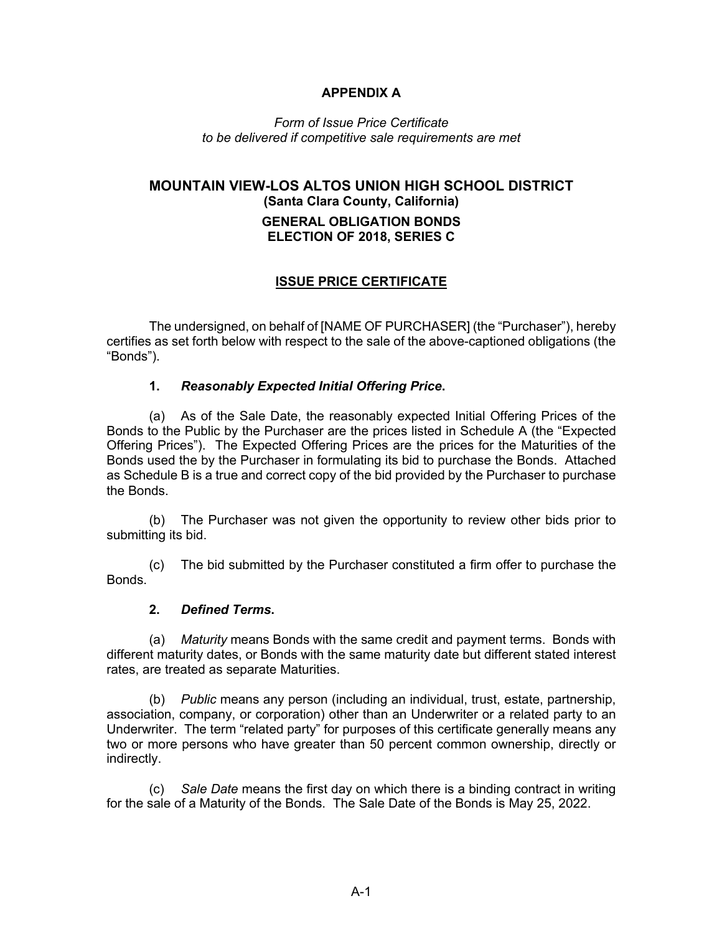## **APPENDIX A**

*Form of Issue Price Certificate to be delivered if competitive sale requirements are met*

# **MOUNTAIN VIEW-LOS ALTOS UNION HIGH SCHOOL DISTRICT (Santa Clara County, California) GENERAL OBLIGATION BONDS ELECTION OF 2018, SERIES C**

## **ISSUE PRICE CERTIFICATE**

The undersigned, on behalf of [NAME OF PURCHASER] (the "Purchaser"), hereby certifies as set forth below with respect to the sale of the above-captioned obligations (the "Bonds").

### **1.** *Reasonably Expected Initial Offering Price***.**

(a) As of the Sale Date, the reasonably expected Initial Offering Prices of the Bonds to the Public by the Purchaser are the prices listed in Schedule A (the "Expected Offering Prices"). The Expected Offering Prices are the prices for the Maturities of the Bonds used the by the Purchaser in formulating its bid to purchase the Bonds. Attached as Schedule B is a true and correct copy of the bid provided by the Purchaser to purchase the Bonds.

(b) The Purchaser was not given the opportunity to review other bids prior to submitting its bid.

(c) The bid submitted by the Purchaser constituted a firm offer to purchase the Bonds.

#### **2.** *Defined Terms***.**

(a) *Maturity* means Bonds with the same credit and payment terms. Bonds with different maturity dates, or Bonds with the same maturity date but different stated interest rates, are treated as separate Maturities.

(b) *Public* means any person (including an individual, trust, estate, partnership, association, company, or corporation) other than an Underwriter or a related party to an Underwriter. The term "related party" for purposes of this certificate generally means any two or more persons who have greater than 50 percent common ownership, directly or indirectly.

(c) *Sale Date* means the first day on which there is a binding contract in writing for the sale of a Maturity of the Bonds. The Sale Date of the Bonds is May 25, 2022.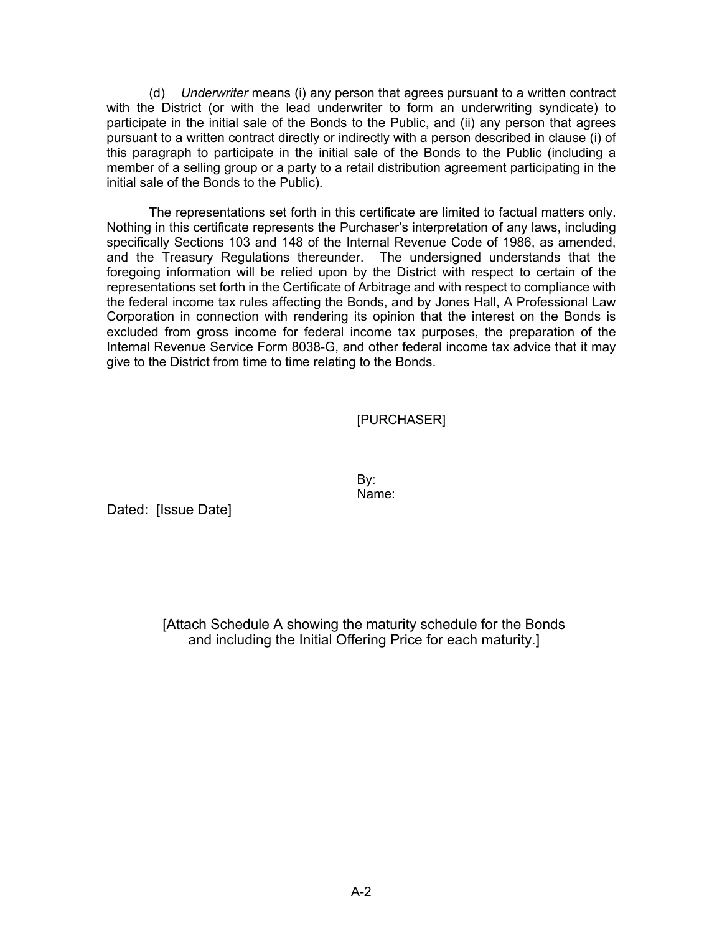(d) *Underwriter* means (i) any person that agrees pursuant to a written contract with the District (or with the lead underwriter to form an underwriting syndicate) to participate in the initial sale of the Bonds to the Public, and (ii) any person that agrees pursuant to a written contract directly or indirectly with a person described in clause (i) of this paragraph to participate in the initial sale of the Bonds to the Public (including a member of a selling group or a party to a retail distribution agreement participating in the initial sale of the Bonds to the Public).

The representations set forth in this certificate are limited to factual matters only. Nothing in this certificate represents the Purchaser's interpretation of any laws, including specifically Sections 103 and 148 of the Internal Revenue Code of 1986, as amended, and the Treasury Regulations thereunder. The undersigned understands that the foregoing information will be relied upon by the District with respect to certain of the representations set forth in the Certificate of Arbitrage and with respect to compliance with the federal income tax rules affecting the Bonds, and by Jones Hall, A Professional Law Corporation in connection with rendering its opinion that the interest on the Bonds is excluded from gross income for federal income tax purposes, the preparation of the Internal Revenue Service Form 8038-G, and other federal income tax advice that it may give to the District from time to time relating to the Bonds.

### [PURCHASER]

By: Name:

Dated: [Issue Date]

[Attach Schedule A showing the maturity schedule for the Bonds and including the Initial Offering Price for each maturity.]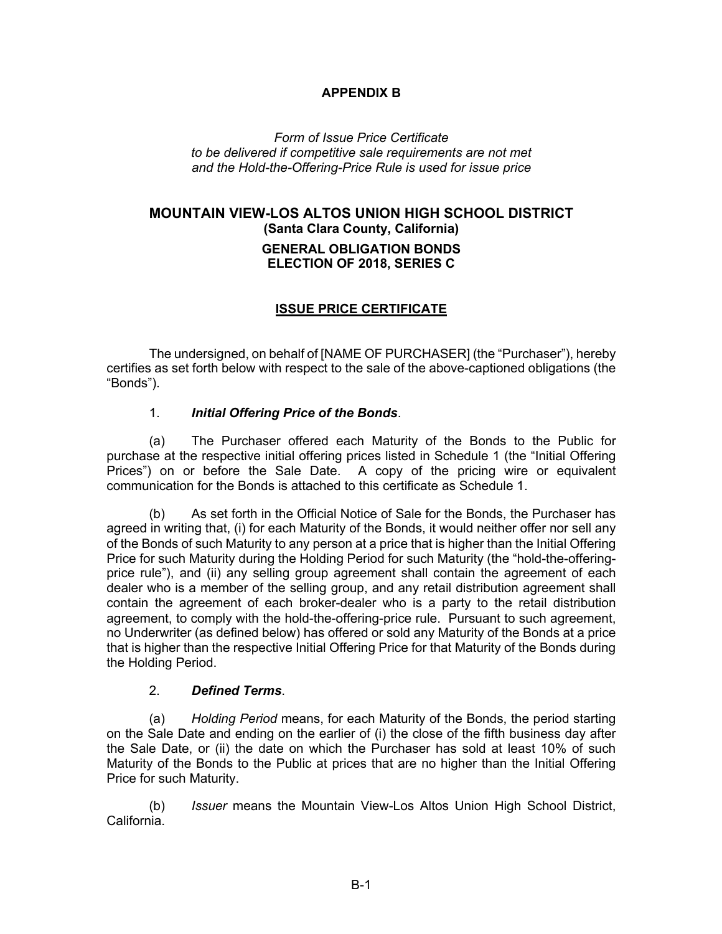### **APPENDIX B**

*Form of Issue Price Certificate to be delivered if competitive sale requirements are not met and the Hold-the-Offering-Price Rule is used for issue price*

# **MOUNTAIN VIEW-LOS ALTOS UNION HIGH SCHOOL DISTRICT (Santa Clara County, California) GENERAL OBLIGATION BONDS ELECTION OF 2018, SERIES C**

### **ISSUE PRICE CERTIFICATE**

The undersigned, on behalf of [NAME OF PURCHASER] (the "Purchaser"), hereby certifies as set forth below with respect to the sale of the above-captioned obligations (the "Bonds").

#### 1. *Initial Offering Price of the Bonds*.

(a) The Purchaser offered each Maturity of the Bonds to the Public for purchase at the respective initial offering prices listed in Schedule 1 (the "Initial Offering Prices") on or before the Sale Date. A copy of the pricing wire or equivalent communication for the Bonds is attached to this certificate as Schedule 1.

(b) As set forth in the Official Notice of Sale for the Bonds, the Purchaser has agreed in writing that, (i) for each Maturity of the Bonds, it would neither offer nor sell any of the Bonds of such Maturity to any person at a price that is higher than the Initial Offering Price for such Maturity during the Holding Period for such Maturity (the "hold-the-offeringprice rule"), and (ii) any selling group agreement shall contain the agreement of each dealer who is a member of the selling group, and any retail distribution agreement shall contain the agreement of each broker-dealer who is a party to the retail distribution agreement, to comply with the hold-the-offering-price rule. Pursuant to such agreement, no Underwriter (as defined below) has offered or sold any Maturity of the Bonds at a price that is higher than the respective Initial Offering Price for that Maturity of the Bonds during the Holding Period.

#### 2. *Defined Terms*.

(a) *Holding Period* means, for each Maturity of the Bonds, the period starting on the Sale Date and ending on the earlier of (i) the close of the fifth business day after the Sale Date, or (ii) the date on which the Purchaser has sold at least 10% of such Maturity of the Bonds to the Public at prices that are no higher than the Initial Offering Price for such Maturity.

(b) *Issuer* means the Mountain View-Los Altos Union High School District, California.